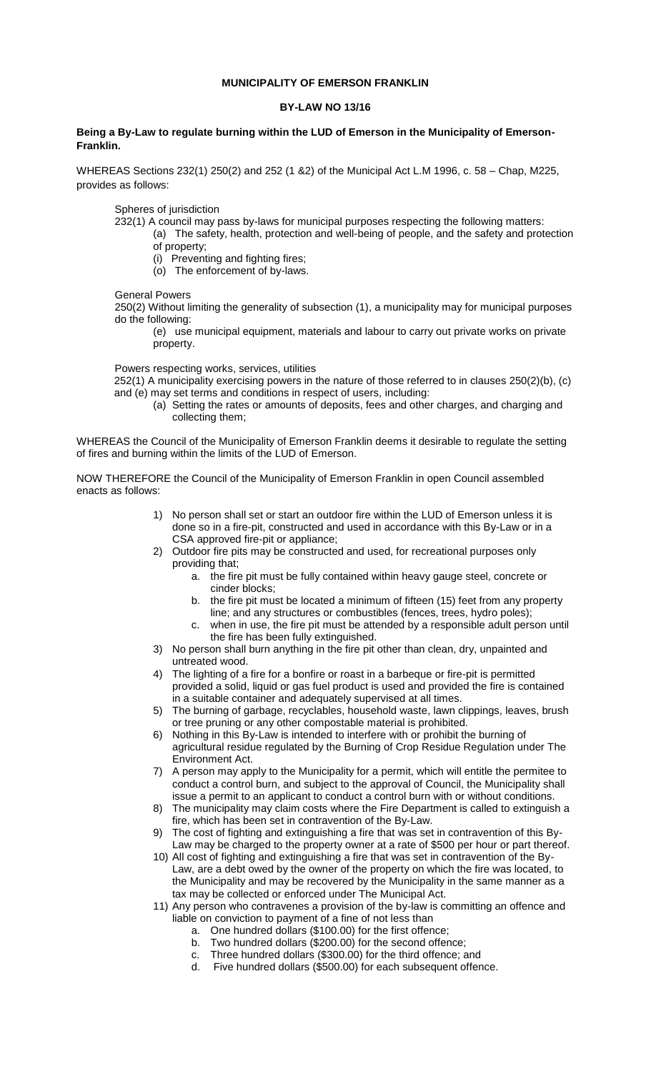## **MUNICIPALITY OF EMERSON FRANKLIN**

## **BY-LAW NO 13/16**

## **Being a By-Law to regulate burning within the LUD of Emerson in the Municipality of Emerson-Franklin.**

WHEREAS Sections 232(1) 250(2) and 252 (1 &2) of the Municipal Act L.M 1996, c. 58 – Chap, M225, provides as follows:

Spheres of jurisdiction

- 232(1) A council may pass by-laws for municipal purposes respecting the following matters:
	- (a) The safety, health, protection and well-being of people, and the safety and protection of property;
		- (i) Preventing and fighting fires;
		- (o) The enforcement of by-laws.

General Powers

250(2) Without limiting the generality of subsection (1), a municipality may for municipal purposes do the following:

(e) use municipal equipment, materials and labour to carry out private works on private property.

Powers respecting works, services, utilities

252(1) A municipality exercising powers in the nature of those referred to in clauses 250(2)(b), (c) and (e) may set terms and conditions in respect of users, including:

(a) Setting the rates or amounts of deposits, fees and other charges, and charging and collecting them;

WHEREAS the Council of the Municipality of Emerson Franklin deems it desirable to regulate the setting of fires and burning within the limits of the LUD of Emerson.

NOW THEREFORE the Council of the Municipality of Emerson Franklin in open Council assembled enacts as follows:

- 1) No person shall set or start an outdoor fire within the LUD of Emerson unless it is done so in a fire-pit, constructed and used in accordance with this By-Law or in a CSA approved fire-pit or appliance;
- 2) Outdoor fire pits may be constructed and used, for recreational purposes only providing that;
	- a. the fire pit must be fully contained within heavy gauge steel, concrete or cinder blocks;
	- b. the fire pit must be located a minimum of fifteen (15) feet from any property line; and any structures or combustibles (fences, trees, hydro poles);
	- c. when in use, the fire pit must be attended by a responsible adult person until the fire has been fully extinguished.
- 3) No person shall burn anything in the fire pit other than clean, dry, unpainted and untreated wood.
- 4) The lighting of a fire for a bonfire or roast in a barbeque or fire-pit is permitted provided a solid, liquid or gas fuel product is used and provided the fire is contained in a suitable container and adequately supervised at all times.
- 5) The burning of garbage, recyclables, household waste, lawn clippings, leaves, brush or tree pruning or any other compostable material is prohibited.
- 6) Nothing in this By-Law is intended to interfere with or prohibit the burning of agricultural residue regulated by the Burning of Crop Residue Regulation under The Environment Act.
- 7) A person may apply to the Municipality for a permit, which will entitle the permitee to conduct a control burn, and subject to the approval of Council, the Municipality shall issue a permit to an applicant to conduct a control burn with or without conditions.
- 8) The municipality may claim costs where the Fire Department is called to extinguish a fire, which has been set in contravention of the By-Law.
- 9) The cost of fighting and extinguishing a fire that was set in contravention of this By-Law may be charged to the property owner at a rate of \$500 per hour or part thereof.
- 10) All cost of fighting and extinguishing a fire that was set in contravention of the By-Law, are a debt owed by the owner of the property on which the fire was located, to the Municipality and may be recovered by the Municipality in the same manner as a tax may be collected or enforced under The Municipal Act.
- 11) Any person who contravenes a provision of the by-law is committing an offence and liable on conviction to payment of a fine of not less than
	- a. One hundred dollars (\$100.00) for the first offence;
	- b. Two hundred dollars (\$200.00) for the second offence;
	- c. Three hundred dollars (\$300.00) for the third offence; and
	- d. Five hundred dollars (\$500.00) for each subsequent offence.